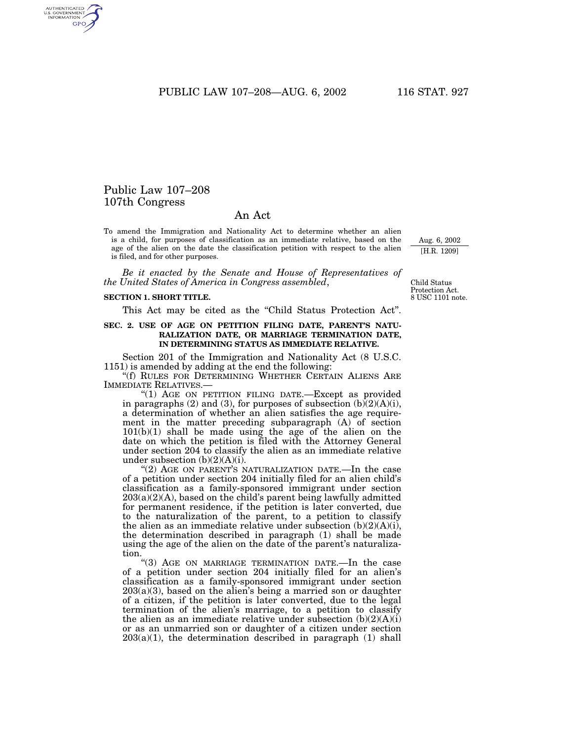PUBLIC LAW 107–208—AUG. 6, 2002 116 STAT. 927

# Public Law 107–208 107th Congress

AUTHENTICATED<br>U.S. GOVERNMENT<br>INFORMATION GPO

# An Act

To amend the Immigration and Nationality Act to determine whether an alien is a child, for purposes of classification as an immediate relative, based on the age of the alien on the date the classification petition with respect to the alien is filed, and for other purposes.

*Be it enacted by the Senate and House of Representatives of the United States of America in Congress assembled*,

#### **SECTION 1. SHORT TITLE.**

This Act may be cited as the "Child Status Protection Act".

## **SEC. 2. USE OF AGE ON PETITION FILING DATE, PARENT'S NATU-RALIZATION DATE, OR MARRIAGE TERMINATION DATE, IN DETERMINING STATUS AS IMMEDIATE RELATIVE.**

Section 201 of the Immigration and Nationality Act (8 U.S.C. 1151) is amended by adding at the end the following:

''(f) RULES FOR DETERMINING WHETHER CERTAIN ALIENS ARE IMMEDIATE RELATIVES.—

"(1) AGE ON PETITION FILING DATE.-Except as provided in paragraphs (2) and (3), for purposes of subsection  $(b)$  $(2)(A)(i)$ , a determination of whether an alien satisfies the age requirement in the matter preceding subparagraph (A) of section 101(b)(1) shall be made using the age of the alien on the date on which the petition is filed with the Attorney General under section 204 to classify the alien as an immediate relative under subsection  $(b)(2)(A)(i)$ .

 $(2)$  AGE ON PARENT'S NATURALIZATION DATE.—In the case of a petition under section 204 initially filed for an alien child's classification as a family-sponsored immigrant under section 203(a)(2)(A), based on the child's parent being lawfully admitted for permanent residence, if the petition is later converted, due to the naturalization of the parent, to a petition to classify the alien as an immediate relative under subsection  $(b)(2)(A)(i)$ , the determination described in paragraph (1) shall be made using the age of the alien on the date of the parent's naturalization.

"(3) AGE ON MARRIAGE TERMINATION DATE.—In the case of a petition under section 204 initially filed for an alien's classification as a family-sponsored immigrant under section  $203(a)(3)$ , based on the alien's being a married son or daughter of a citizen, if the petition is later converted, due to the legal termination of the alien's marriage, to a petition to classify the alien as an immediate relative under subsection  $(b)(2)(A)(i)$ or as an unmarried son or daughter of a citizen under section  $203(a)(1)$ , the determination described in paragraph  $(1)$  shall

8 USC 1101 note. Child Status Protection Act.

Aug. 6, 2002 [H.R. 1209]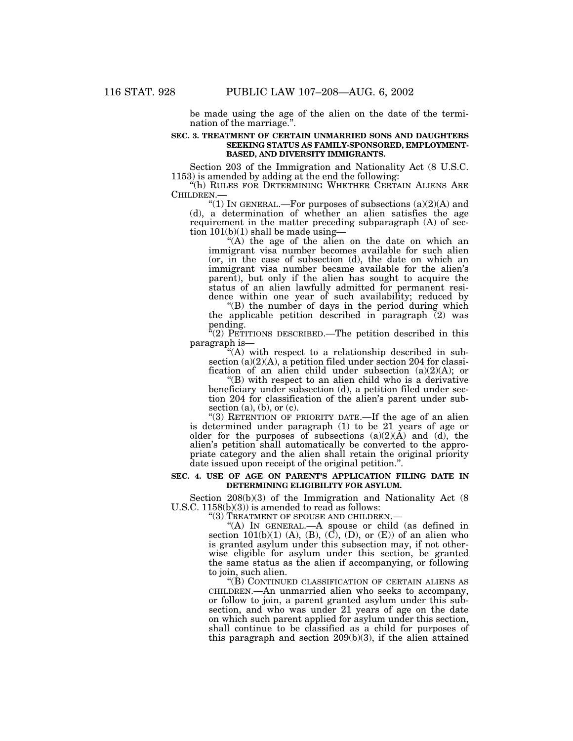be made using the age of the alien on the date of the termination of the marriage.''.

## **SEC. 3. TREATMENT OF CERTAIN UNMARRIED SONS AND DAUGHTERS SEEKING STATUS AS FAMILY-SPONSORED, EMPLOYMENT-BASED, AND DIVERSITY IMMIGRANTS.**

Section 203 of the Immigration and Nationality Act (8 U.S.C. 1153) is amended by adding at the end the following:

"(h) RULES FOR DETERMINING WHETHER CERTAIN ALIENS ARE CHILDREN.—

"(1) IN GENERAL.—For purposes of subsections  $(a)(2)(A)$  and (d), a determination of whether an alien satisfies the age requirement in the matter preceding subparagraph (A) of section  $101(b)(1)$  shall be made using—

 $t''(A)$  the age of the alien on the date on which an immigrant visa number becomes available for such alien (or, in the case of subsection (d), the date on which an immigrant visa number became available for the alien's parent), but only if the alien has sought to acquire the status of an alien lawfully admitted for permanent resi-

dence within one year of such availability; reduced by "(B) the number of days in the period during which the applicable petition described in paragraph (2) was pending.

''(2) PETITIONS DESCRIBED.—The petition described in this paragraph is—<br>"(A) with respect to a relationship described in sub-

section (a)(2)(A), a petition filed under section 204 for classi-

fication of an alien child under subsection (a)(2)(A); or "(B) with respect to an alien child who is a derivative beneficiary under subsection (d), a petition filed under section 204 for classification of the alien's parent under subsection (a), (b), or (c).

" $(3)$  RETENTION OF PRIORITY DATE.—If the age of an alien is determined under paragraph (1) to be 21 years of age or older for the purposes of subsections  $(a)(2)(\tilde{A})$  and  $(d)$ , the alien's petition shall automatically be converted to the appropriate category and the alien shall retain the original priority date issued upon receipt of the original petition.''.

#### **SEC. 4. USE OF AGE ON PARENT'S APPLICATION FILING DATE IN DETERMINING ELIGIBILITY FOR ASYLUM.**

Section  $208(b)(3)$  of the Immigration and Nationality Act (8 U.S.C. 1158(b)(3)) is amended to read as follows:

"(3) TREATMENT OF SPOUSE AND CHILDREN.—<br>"(A) IN GENERAL.—A spouse or child (as defined in section 101(b)(1) (A), (B), (C), (D), or (E)) of an alien who is granted asylum under this subsection may, if not otherwise eligible for asylum under this section, be granted the same status as the alien if accompanying, or following to join, such alien.

"(B) CONTINUED CLASSIFICATION OF CERTAIN ALIENS AS CHILDREN.—An unmarried alien who seeks to accompany, or follow to join, a parent granted asylum under this subsection, and who was under 21 years of age on the date on which such parent applied for asylum under this section, shall continue to be classified as a child for purposes of this paragraph and section 209(b)(3), if the alien attained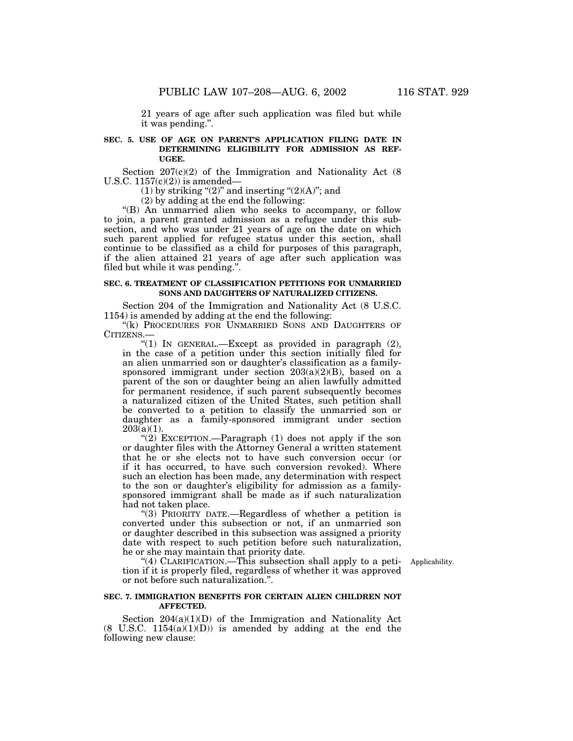21 years of age after such application was filed but while it was pending.''.

# **SEC. 5. USE OF AGE ON PARENT'S APPLICATION FILING DATE IN DETERMINING ELIGIBILITY FOR ADMISSION AS REF-UGEE.**

Section  $207(c)(2)$  of the Immigration and Nationality Act (8) U.S.C.  $1157(c)(2)$  is amended—

(1) by striking " $(2)$ " and inserting " $(2)(A)$ "; and

(2) by adding at the end the following:

''(B) An unmarried alien who seeks to accompany, or follow to join, a parent granted admission as a refugee under this subsection, and who was under 21 years of age on the date on which such parent applied for refugee status under this section, shall continue to be classified as a child for purposes of this paragraph, if the alien attained 21 years of age after such application was filed but while it was pending.''.

#### **SEC. 6. TREATMENT OF CLASSIFICATION PETITIONS FOR UNMARRIED SONS AND DAUGHTERS OF NATURALIZED CITIZENS.**

Section 204 of the Immigration and Nationality Act (8 U.S.C. 1154) is amended by adding at the end the following:

"(k) PROCEDURES FOR UNMARRIED SONS AND DAUGHTERS OF CITIZENS.—

"(1) IN GENERAL.—Except as provided in paragraph (2), in the case of a petition under this section initially filed for an alien unmarried son or daughter's classification as a familysponsored immigrant under section 203(a)(2)(B), based on a parent of the son or daughter being an alien lawfully admitted for permanent residence, if such parent subsequently becomes a naturalized citizen of the United States, such petition shall be converted to a petition to classify the unmarried son or daughter as a family-sponsored immigrant under section  $203(a)(1)$ .

"(2) EXCEPTION.—Paragraph (1) does not apply if the son or daughter files with the Attorney General a written statement that he or she elects not to have such conversion occur (or if it has occurred, to have such conversion revoked). Where such an election has been made, any determination with respect to the son or daughter's eligibility for admission as a familysponsored immigrant shall be made as if such naturalization had not taken place.

''(3) PRIORITY DATE.—Regardless of whether a petition is converted under this subsection or not, if an unmarried son or daughter described in this subsection was assigned a priority date with respect to such petition before such naturalization, he or she may maintain that priority date.

Applicability.

"(4) CLARIFICATION.—This subsection shall apply to a petition if it is properly filed, regardless of whether it was approved or not before such naturalization.''.

# **SEC. 7. IMMIGRATION BENEFITS FOR CERTAIN ALIEN CHILDREN NOT AFFECTED.**

Section  $204(a)(1)(D)$  of the Immigration and Nationality Act  $(8 \text{ U.S.C. } 1154(a)(1)(D))$  is amended by adding at the end the following new clause: